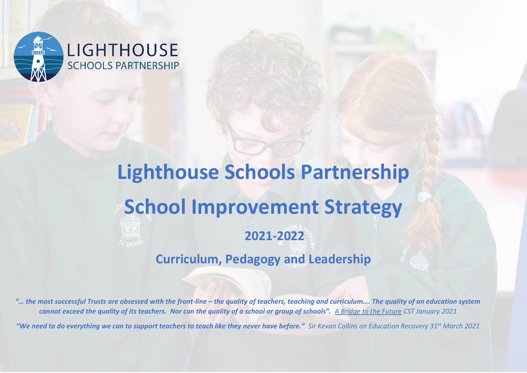

# LIGHTHOUSE **SCHOOLS PARTNERSHIP**

# **Lighthouse Schools Partnership School Improvement Strategy 2021-2022 Curriculum, Pedagogy and Leadership**

*"… the most successful Trusts are obsessed with the front-line – the quality of teachers, teaching and curriculum…. The quality of an education system cannot exceed the quality of its teachers. Nor can the quality of a school or group of schools". A Bridge to the Future CST January 2021*

*"We need to do everything we can to support teachers to teach like they never have before." Sir Kevan Collins on Education Recovery 31st March 2021*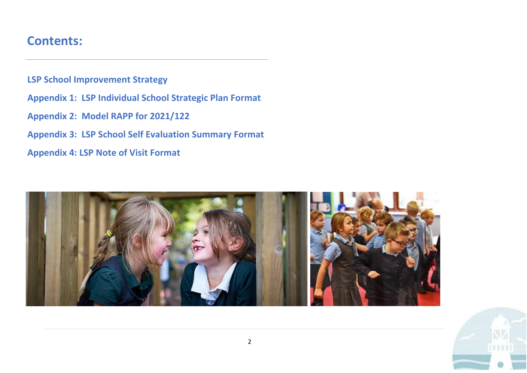## **Contents:**

**LSP School Improvement Strategy** 

- **Appendix 1: LSP Individual School Strategic Plan Format**
- **Appendix 2: Model RAPP for 2021/122**
- **Appendix 3: LSP School Self Evaluation Summary Format**
- **Appendix 4: LSP Note of Visit Format**



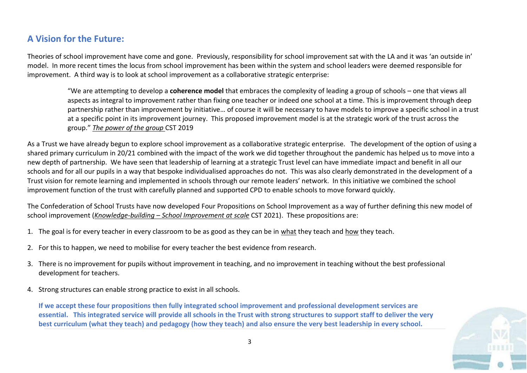## **A Vision for the Future:**

Theories of school improvement have come and gone. Previously, responsibility for school improvement sat with the LA and it was 'an outside in' model. In more recent times the locus from school improvement has been within the system and school leaders were deemed responsible for improvement. A third way is to look at school improvement as a collaborative strategic enterprise:

"We are attempting to develop a **coherence model** that embraces the complexity of leading a group of schools – one that views all aspects as integral to improvement rather than fixing one teacher or indeed one school at a time. This is improvement through deep partnership rather than improvement by initiative… of course it will be necessary to have models to improve a specific school in a trust at a specific point in its improvement journey. This proposed improvement model is at the strategic work of the trust across the group." *The power of the group* CST 2019

As a Trust we have already begun to explore school improvement as a collaborative strategic enterprise. The development of the option of using a shared primary curriculum in 20/21 combined with the impact of the work we did together throughout the pandemic has helped us to move into a new depth of partnership. We have seen that leadership of learning at a strategic Trust level can have immediate impact and benefit in all our schools and for all our pupils in a way that bespoke individualised approaches do not. This was also clearly demonstrated in the development of a Trust vision for remote learning and implemented in schools through our remote leaders' network. In this initiative we combined the school improvement function of the trust with carefully planned and supported CPD to enable schools to move forward quickly.

The Confederation of School Trusts have now developed Four Propositions on School Improvement as a way of further defining this new model of school improvement (*Knowledge-building – School Improvement at scale* CST 2021). These propositions are:

- 1. The goal is for every teacher in every classroom to be as good as they can be in what they teach and how they teach.
- 2. For this to happen, we need to mobilise for every teacher the best evidence from research.
- 3. There is no improvement for pupils without improvement in teaching, and no improvement in teaching without the best professional development for teachers.
- 4. Strong structures can enable strong practice to exist in all schools.

**If we accept these four propositions then fully integrated school improvement and professional development services are essential. This integrated service will provide all schools in the Trust with strong structures to support staff to deliver the very best curriculum (what they teach) and pedagogy (how they teach) and also ensure the very best leadership in every school.**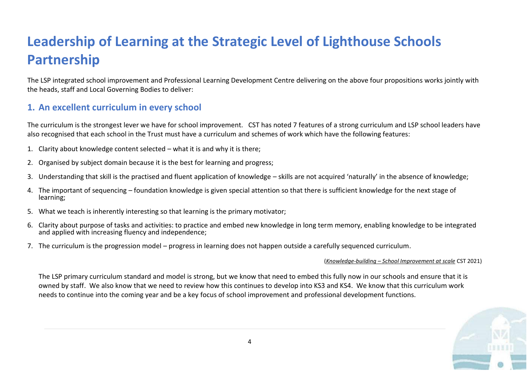# **Leadership of Learning at the Strategic Level of Lighthouse Schools Partnership**

The LSP integrated school improvement and Professional Learning Development Centre delivering on the above four propositions works jointly with the heads, staff and Local Governing Bodies to deliver:

## **1. An excellent curriculum in every school**

The curriculum is the strongest lever we have for school improvement. CST has noted 7 features of a strong curriculum and LSP school leaders have also recognised that each school in the Trust must have a curriculum and schemes of work which have the following features:

- 1. Clarity about knowledge content selected what it is and why it is there;
- 2. Organised by subject domain because it is the best for learning and progress;
- 3. Understanding that skill is the practised and fluent application of knowledge skills are not acquired 'naturally' in the absence of knowledge;
- 4. The important of sequencing foundation knowledge is given special attention so that there is sufficient knowledge for the next stage of learning;
- 5. What we teach is inherently interesting so that learning is the primary motivator;
- 6. Clarity about purpose of tasks and activities: to practice and embed new knowledge in long term memory, enabling knowledge to be integrated and applied with increasing fluency and independence;
- 7. The curriculum is the progression model progress in learning does not happen outside a carefully sequenced curriculum.

#### (*Knowledge-building – School Improvement at scale* CST 2021)

The LSP primary curriculum standard and model is strong, but we know that need to embed this fully now in our schools and ensure that it is owned by staff. We also know that we need to review how this continues to develop into KS3 and KS4. We know that this curriculum work needs to continue into the coming year and be a key focus of school improvement and professional development functions.

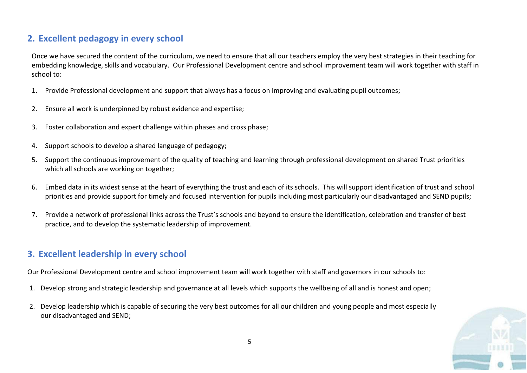## **2. Excellent pedagogy in every school**

Once we have secured the content of the curriculum, we need to ensure that all our teachers employ the very best strategies in their teaching for embedding knowledge, skills and vocabulary. Our Professional Development centre and school improvement team will work together with staff in school to:

- 1. Provide Professional development and support that always has a focus on improving and evaluating pupil outcomes;
- 2. Ensure all work is underpinned by robust evidence and expertise;
- 3. Foster collaboration and expert challenge within phases and cross phase;
- 4. Support schools to develop a shared language of pedagogy;
- 5. Support the continuous improvement of the quality of teaching and learning through professional development on shared Trust priorities which all schools are working on together;
- 6. Embed data in its widest sense at the heart of everything the trust and each of its schools. This will support identification of trust and school priorities and provide support for timely and focused intervention for pupils including most particularly our disadvantaged and SEND pupils;
- 7. Provide a network of professional links across the Trust's schools and beyond to ensure the identification, celebration and transfer of best practice, and to develop the systematic leadership of improvement.

## **3. Excellent leadership in every school**

Our Professional Development centre and school improvement team will work together with staff and governors in our schools to:

- 1. Develop strong and strategic leadership and governance at all levels which supports the wellbeing of all and is honest and open;
- 2. Develop leadership which is capable of securing the very best outcomes for all our children and young people and most especially our disadvantaged and SEND;

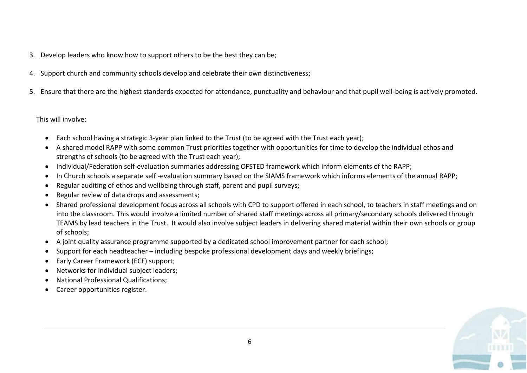- 3. Develop leaders who know how to support others to be the best they can be;
- 4. Support church and community schools develop and celebrate their own distinctiveness;
- 5. Ensure that there are the highest standards expected for attendance, punctuality and behaviour and that pupil well-being is actively promoted.

This will involve:

- Each school having a strategic 3-year plan linked to the Trust (to be agreed with the Trust each year);
- A shared model RAPP with some common Trust priorities together with opportunities for time to develop the individual ethos and strengths of schools (to be agreed with the Trust each year);
- Individual/Federation self-evaluation summaries addressing OFSTED framework which inform elements of the RAPP;
- In Church schools a separate self -evaluation summary based on the SIAMS framework which informs elements of the annual RAPP;
- Regular auditing of ethos and wellbeing through staff, parent and pupil surveys;
- Regular review of data drops and assessments;
- Shared professional development focus across all schools with CPD to support offered in each school, to teachers in staff meetings and on into the classroom. This would involve a limited number of shared staff meetings across all primary/secondary schools delivered through TEAMS by lead teachers in the Trust. It would also involve subject leaders in delivering shared material within their own schools or group of schools;
- A joint quality assurance programme supported by a dedicated school improvement partner for each school;
- Support for each headteacher including bespoke professional development days and weekly briefings;
- Early Career Framework (ECF) support;
- Networks for individual subject leaders;
- National Professional Qualifications;
- Career opportunities register.

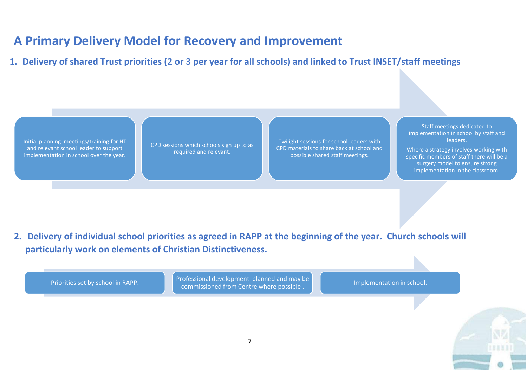## **A Primary Delivery Model for Recovery and Improvement**

**1. Delivery of shared Trust priorities (2 or 3 per year for all schools) and linked to Trust INSET/staff meetings**

Initial planning meetings/training for HT and relevant school leader to support implementation in school over the year.

CPD sessions which schools sign up to as required and relevant.

Twilight sessions for school leaders with CPD materials to share back at school and possible shared staff meetings.

Staff meetings dedicated to implementation in school by staff and leaders. Where a strategy involves working with

specific members of staff there will be a surgery model to ensure strong implementation in the classroom.

**2. Delivery of individual school priorities as agreed in RAPP at the beginning of the year. Church schools will particularly work on elements of Christian Distinctiveness.**

Priorities set by school in RAPP. Professional development planned and may be consideration in school.<br>Commissioned from Centre where possible . The interval of the limplementation in school.

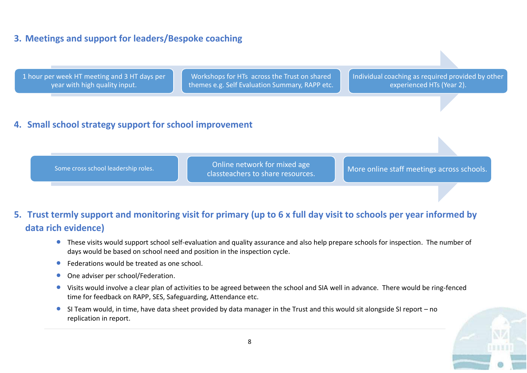## **3. Meetings and support for leaders/Bespoke coaching**



## **4. Small school strategy support for school improvement**

Some cross school leadership roles.<br>Classteachers to share resources.

More online staff meetings across schools.

## **5. Trust termly support and monitoring visit for primary (up to 6 x full day visit to schools per year informed by data rich evidence)**

- These visits would support school self-evaluation and quality assurance and also help prepare schools for inspection. The number of days would be based on school need and position in the inspection cycle.
- Federations would be treated as one school.
- One adviser per school/Federation.
- Visits would involve a clear plan of activities to be agreed between the school and SIA well in advance. There would be ring-fenced time for feedback on RAPP, SES, Safeguarding, Attendance etc.
- SI Team would, in time, have data sheet provided by data manager in the Trust and this would sit alongside SI report no replication in report.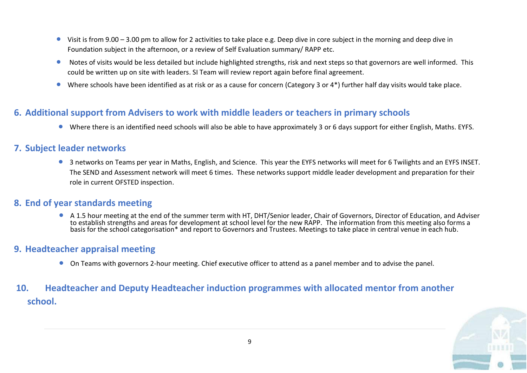- Visit is from 9.00 3.00 pm to allow for 2 activities to take place e.g. Deep dive in core subject in the morning and deep dive in Foundation subject in the afternoon, or a review of Self Evaluation summary/ RAPP etc.
- Notes of visits would be less detailed but include highlighted strengths, risk and next steps so that governors are well informed. This could be written up on site with leaders. SI Team will review report again before final agreement.
- Where schools have been identified as at risk or as a cause for concern (Category 3 or 4\*) further half day visits would take place.

### **6. Additional support from Advisers to work with middle leaders or teachers in primary schools**

• Where there is an identified need schools will also be able to have approximately 3 or 6 days support for either English, Maths. EYFS.

#### **7. Subject leader networks**

• 3 networks on Teams per year in Maths, English, and Science. This year the EYFS networks will meet for 6 Twilights and an EYFS INSET. The SEND and Assessment network will meet 6 times. These networks support middle leader development and preparation for their role in current OFSTED inspection.

#### **8. End of year standards meeting**

• A 1.5 hour meeting at the end of the summer term with HT, DHT/Senior leader, Chair of Governors, Director of Education, and Adviser to establish strengths and areas for development at school level for the new RAPP. The information from this meeting also forms a basis for the school categorisation\* and report to Governors and Trustees. Meetings to take place in central venue in each hub.

#### **9. Headteacher appraisal meeting**

• On Teams with governors 2-hour meeting. Chief executive officer to attend as a panel member and to advise the panel.

## **10. Headteacher and Deputy Headteacher induction programmes with allocated mentor from another school.**

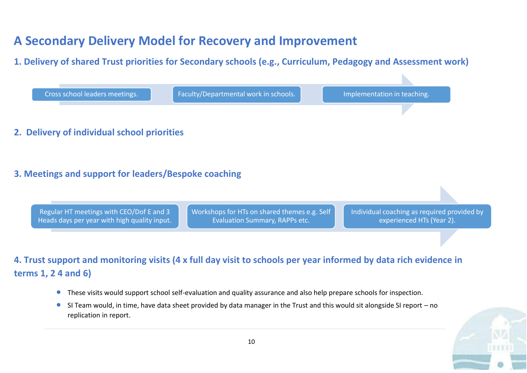## **A Secondary Delivery Model for Recovery and Improvement**

## **1. Delivery of shared Trust priorities for Secondary schools (e.g., Curriculum, Pedagogy and Assessment work)**



- These visits would support school self-evaluation and quality assurance and also help prepare schools for inspection.
- SI Team would, in time, have data sheet provided by data manager in the Trust and this would sit alongside SI report no replication in report.

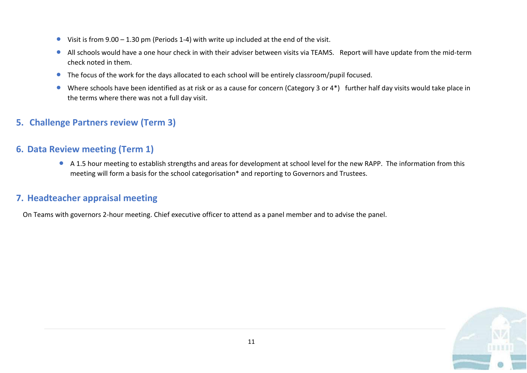- Visit is from 9.00 1.30 pm (Periods 1-4) with write up included at the end of the visit.
- All schools would have a one hour check in with their adviser between visits via TEAMS. Report will have update from the mid-term check noted in them.
- The focus of the work for the days allocated to each school will be entirely classroom/pupil focused.
- Where schools have been identified as at risk or as a cause for concern (Category 3 or 4\*) further half day visits would take place in the terms where there was not a full day visit.

## **5. Challenge Partners review (Term 3)**

### **6. Data Review meeting (Term 1)**

• A 1.5 hour meeting to establish strengths and areas for development at school level for the new RAPP. The information from this meeting will form a basis for the school categorisation\* and reporting to Governors and Trustees.

## **7. Headteacher appraisal meeting**

On Teams with governors 2-hour meeting. Chief executive officer to attend as a panel member and to advise the panel.

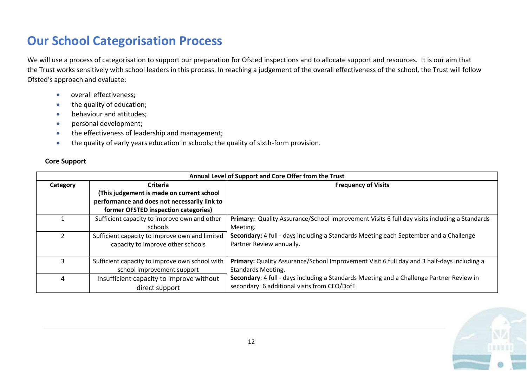## **Our School Categorisation Process**

We will use a process of categorisation to support our preparation for Ofsted inspections and to allocate support and resources. It is our aim that the Trust works sensitively with school leaders in this process. In reaching a judgement of the overall effectiveness of the school, the Trust will follow Ofsted's approach and evaluate:

- overall effectiveness;
- the quality of education;
- behaviour and attitudes;
- personal development;
- the effectiveness of leadership and management;
- the quality of early years education in schools; the quality of sixth-form provision.

#### **Core Support**

|          | Annual Level of Support and Core Offer from the Trust |                                                                                              |  |  |  |  |  |  |
|----------|-------------------------------------------------------|----------------------------------------------------------------------------------------------|--|--|--|--|--|--|
| Category | <b>Criteria</b>                                       | <b>Frequency of Visits</b>                                                                   |  |  |  |  |  |  |
|          | (This judgement is made on current school             |                                                                                              |  |  |  |  |  |  |
|          | performance and does not necessarily link to          |                                                                                              |  |  |  |  |  |  |
|          | former OFSTED inspection categories)                  |                                                                                              |  |  |  |  |  |  |
|          | Sufficient capacity to improve own and other          | Primary: Quality Assurance/School Improvement Visits 6 full day visits including a Standards |  |  |  |  |  |  |
|          | schools                                               | Meeting.                                                                                     |  |  |  |  |  |  |
|          | Sufficient capacity to improve own and limited        | Secondary: 4 full - days including a Standards Meeting each September and a Challenge        |  |  |  |  |  |  |
|          | capacity to improve other schools                     | Partner Review annually.                                                                     |  |  |  |  |  |  |
|          |                                                       |                                                                                              |  |  |  |  |  |  |
| 3        | Sufficient capacity to improve own school with        | Primary: Quality Assurance/School Improvement Visit 6 full day and 3 half-days including a   |  |  |  |  |  |  |
|          | school improvement support                            | <b>Standards Meeting.</b>                                                                    |  |  |  |  |  |  |
| 4        | Insufficient capacity to improve without              | Secondary: 4 full - days including a Standards Meeting and a Challenge Partner Review in     |  |  |  |  |  |  |
|          | direct support                                        | secondary. 6 additional visits from CEO/DofE                                                 |  |  |  |  |  |  |

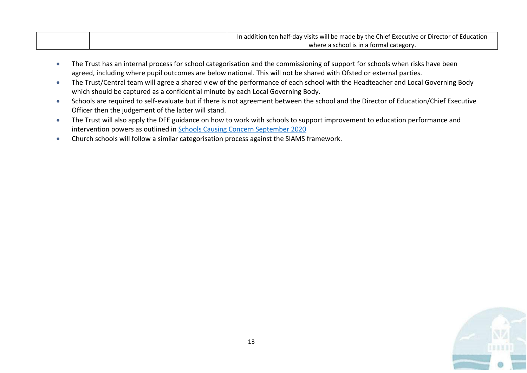| In addition ten half-day visits will be made by the Chief Executive or Director of Education |
|----------------------------------------------------------------------------------------------|
| where a school is in a formal category.                                                      |

- The Trust has an internal process for school categorisation and the commissioning of support for schools when risks have been agreed, including where pupil outcomes are below national. This will not be shared with Ofsted or external parties.
- The Trust/Central team will agree a shared view of the performance of each school with the Headteacher and Local Governing Body which should be captured as a confidential minute by each Local Governing Body.
- Schools are required to self-evaluate but if there is not agreement between the school and the Director of Education/Chief Executive Officer then the judgement of the latter will stand.
- The Trust will also apply the DFE guidance on how to work with schools to support improvement to education performance and intervention powers as outlined i[n Schools Causing Concern September 2020](https://assets.publishing.service.gov.uk/government/uploads/system/uploads/attachment_data/file/922910/schools_causing_concern1.pdf)
- Church schools will follow a similar categorisation process against the SIAMS framework.

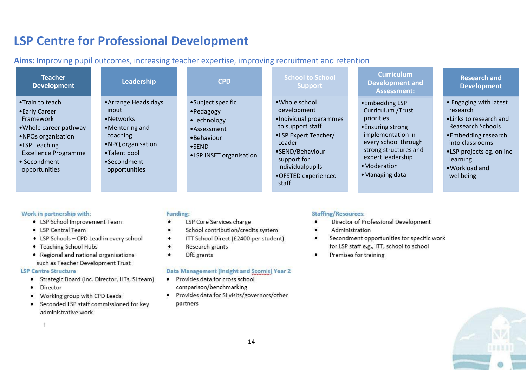## **LSP Centre for Professional Development**

**Aims:** Improving pupil outcomes, increasing teacher expertise, improving recruitment and retention

| <b>Teacher</b><br><b>Development</b>                                                                                                                                             | Leadership                                                                                                                                     | <b>CPD</b>                                                                                                              | <b>School to School</b><br><b>Support</b>                                                                                                                                                           | <b>Curriculum</b><br><b>Development and</b><br><b>Assessment:</b>                                                                                                                                   | <b>Research and</b><br><b>Development</b>                                                                                                                                                           |
|----------------------------------------------------------------------------------------------------------------------------------------------------------------------------------|------------------------------------------------------------------------------------------------------------------------------------------------|-------------------------------------------------------------------------------------------------------------------------|-----------------------------------------------------------------------------------------------------------------------------------------------------------------------------------------------------|-----------------------------------------------------------------------------------------------------------------------------------------------------------------------------------------------------|-----------------------------------------------------------------------------------------------------------------------------------------------------------------------------------------------------|
| •Train to teach<br>• Early Career<br>Framework<br>• Whole career pathway<br>• NPQs organisation<br>•LSP Teaching<br><b>Excellence Programme</b><br>• Secondment<br>opportunities | • Arrange Heads days<br>input<br>•Networks<br>•Mentoring and<br>coaching<br>• NPQ organisation<br>•Talent pool<br>•Secondment<br>opportunities | •Subject specific<br>•Pedagogy<br>•Technology<br>•Assessment<br>•Behaviour<br>$\bullet$ SEND<br>•LSP INSET organisation | • Whole school<br>development<br>•Individual programmes<br>to support staff<br>•LSP Expert Teacher/<br>Leader<br>•SEND/Behaviour<br>support for<br>individualpupils<br>•OFSTED experienced<br>staff | •Embedding LSP<br>Curriculum / Trust<br>priorities<br>• Ensuring strong<br>implementation in<br>every school through<br>strong structures and<br>expert leadership<br>•Moderation<br>•Managing data | • Engaging with latest<br>research<br>. Links to research and<br>Reasearch Schools<br>•Embedding research<br>into classrooms<br>•LSP projects eg. online<br>learning<br>• Workload and<br>wellbeing |

#### Work in partnership with:

- LSP School Improvement Team
- ISP Central Team
- LSP Schools CPD Lead in every school
- Teaching School Hubs
- Regional and national organisations such as Teacher Development Trust

#### **LSP Centre Structure**

- Strategic Board (Inc. Director, HTs, SI team)
- Director  $\bullet$
- Working group with CPD Leads
- Seconded LSP staff commissioned for key administrative work

#### Funding:

- LSP Core Services charge
- School contribution/credits system
- ITT School Direct (£2400 per student) ٠
- Research grants
- DfE grants ٠

#### Data Management (Insight and Scomis) Year 2

- Provides data for cross school  $\bullet$ comparison/benchmarking
- · Provides data for SI visits/governors/other partners

#### **Staffing/Resources:**

- Director of Professional Development
- Administration
- Secondment opportunities for specific work  $\bullet$ for LSP staff e.g., ITT, school to school
- Premises for training ٠

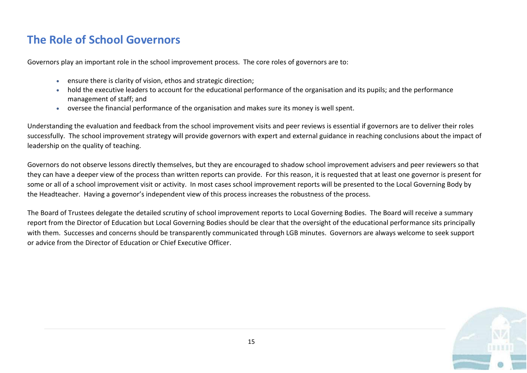## **The Role of School Governors**

Governors play an important role in the school improvement process. The core roles of governors are to:

- ensure there is clarity of vision, ethos and strategic direction;
- hold the executive leaders to account for the educational performance of the organisation and its pupils; and the performance management of staff; and
- oversee the financial performance of the organisation and makes sure its money is well spent.

Understanding the evaluation and feedback from the school improvement visits and peer reviews is essential if governors are to deliver their roles successfully. The school improvement strategy will provide governors with expert and external guidance in reaching conclusions about the impact of leadership on the quality of teaching.

Governors do not observe lessons directly themselves, but they are encouraged to shadow school improvement advisers and peer reviewers so that they can have a deeper view of the process than written reports can provide. For this reason, it is requested that at least one governor is present for some or all of a school improvement visit or activity. In most cases school improvement reports will be presented to the Local Governing Body by the Headteacher. Having a governor's independent view of this process increases the robustness of the process.

The Board of Trustees delegate the detailed scrutiny of school improvement reports to Local Governing Bodies. The Board will receive a summary report from the Director of Education but Local Governing Bodies should be clear that the oversight of the educational performance sits principally with them. Successes and concerns should be transparently communicated through LGB minutes. Governors are always welcome to seek support or advice from the Director of Education or Chief Executive Officer.

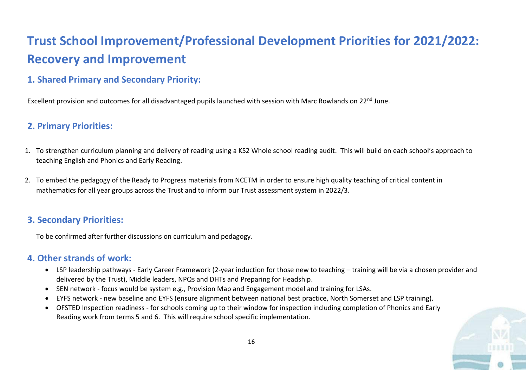# **Trust School Improvement/Professional Development Priorities for 2021/2022: Recovery and Improvement**

## **1. Shared Primary and Secondary Priority:**

Excellent provision and outcomes for all disadvantaged pupils launched with session with Marc Rowlands on 22<sup>nd</sup> June.

## **2. Primary Priorities:**

- 1. To strengthen curriculum planning and delivery of reading using a KS2 Whole school reading audit. This will build on each school's approach to teaching English and Phonics and Early Reading.
- 2. To embed the pedagogy of the Ready to Progress materials from NCETM in order to ensure high quality teaching of critical content in mathematics for all year groups across the Trust and to inform our Trust assessment system in 2022/3.

## **3. Secondary Priorities:**

To be confirmed after further discussions on curriculum and pedagogy.

## **4. Other strands of work:**

- LSP leadership pathways Early Career Framework (2-year induction for those new to teaching training will be via a chosen provider and delivered by the Trust), Middle leaders, NPQs and DHTs and Preparing for Headship.
- SEN network focus would be system e.g., Provision Map and Engagement model and training for LSAs.
- EYFS network new baseline and EYFS (ensure alignment between national best practice, North Somerset and LSP training).
- OFSTED Inspection readiness for schools coming up to their window for inspection including completion of Phonics and Early Reading work from terms 5 and 6. This will require school specific implementation.

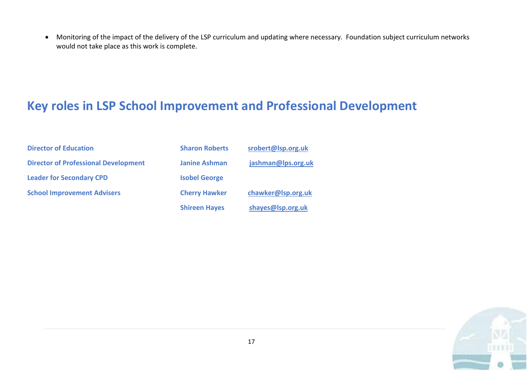• Monitoring of the impact of the delivery of the LSP curriculum and updating where necessary. Foundation subject curriculum networks would not take place as this work is complete.

## **Key roles in LSP School Improvement and Professional Development**

| <b>Director of Education</b>                | <b>Sharon Roberts</b> | srobert@lsp.org.uk |
|---------------------------------------------|-----------------------|--------------------|
| <b>Director of Professional Development</b> | <b>Janine Ashman</b>  | jashman@lps.org.uk |
| <b>Leader for Secondary CPD</b>             | <b>Isobel George</b>  |                    |
| <b>School Improvement Advisers</b>          | <b>Cherry Hawker</b>  | chawker@lsp.org.uk |
|                                             | <b>Shireen Hayes</b>  | shayes@lsp.org.uk  |

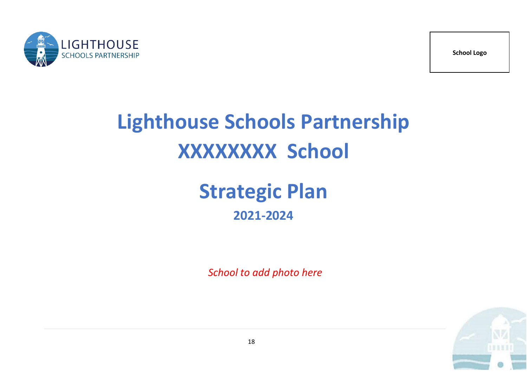



# **Lighthouse Schools Partnership XXXXXXXX School**

# **Strategic Plan 2021-2024**

 *School to add photo here*

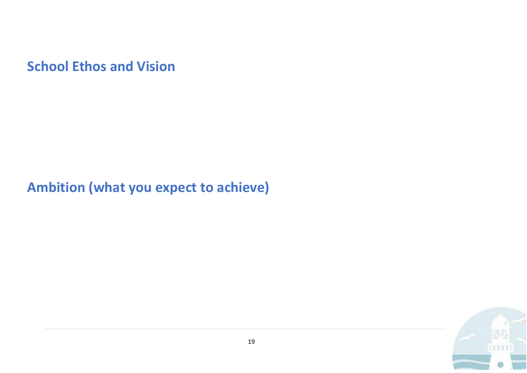**School Ethos and Vision**

# **Ambition (what you expect to achieve)**

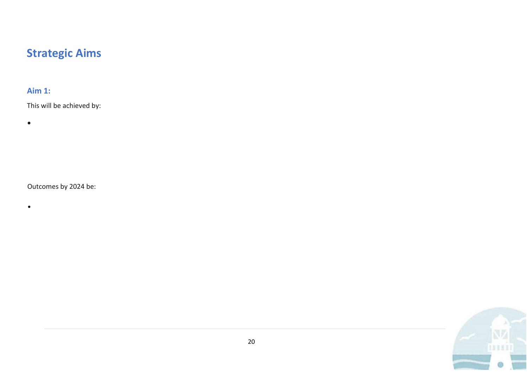## **Strategic Aims**

## **Aim 1:**

This will be achieved by:

•

•

Outcomes by 2024 be:

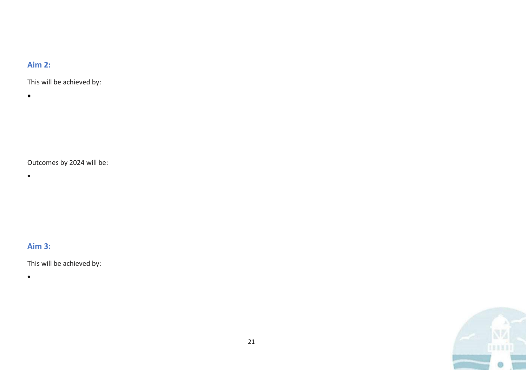### **Aim 2:**

This will be achieved by:

•

- Outcomes by 2024 will be:
- •

**Aim 3:** 

This will be achieved by:

•

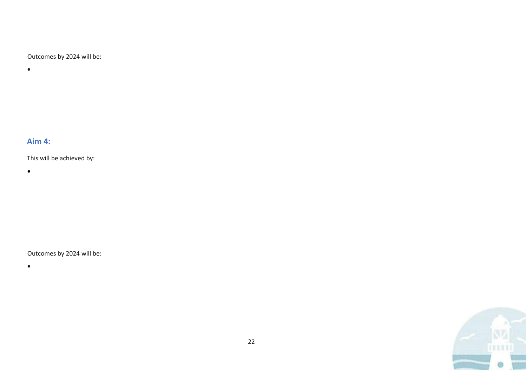Outcomes by 2024 will be:

•

## **Aim 4:**

This will be achieved by:

•

### Outcomes by 2024 will be:

•

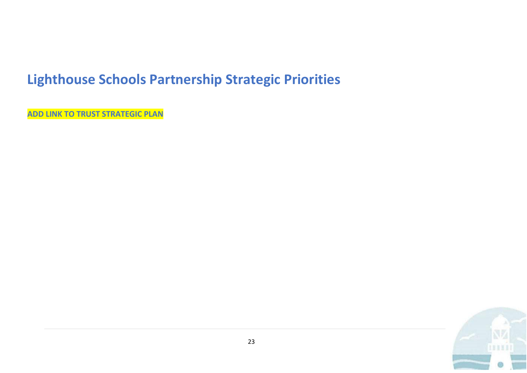## **Lighthouse Schools Partnership Strategic Priorities**

**ADD LINK TO TRUST STRATEGIC PLAN**

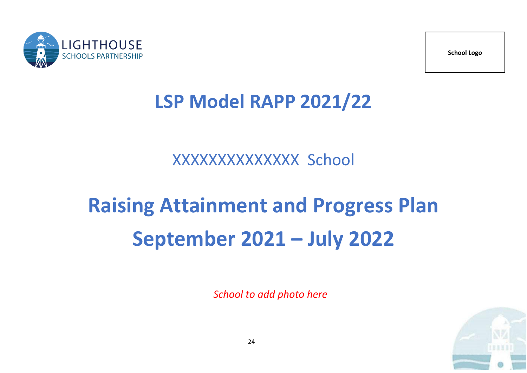

**School Logo**

# **LSP Model RAPP 2021/22**

# XXXXXXXXXXXXXX School

# **Raising Attainment and Progress Plan September 2021 – July 2022**

*School to add photo here*

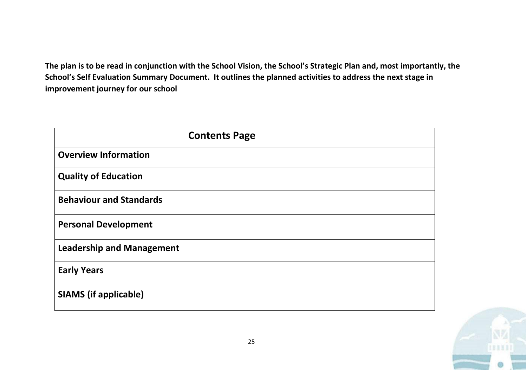**The plan is to be read in conjunction with the School Vision, the School's Strategic Plan and, most importantly, the School's Self Evaluation Summary Document. It outlines the planned activities to address the next stage in improvement journey for our school**

| <b>Contents Page</b>             |  |  |  |  |  |
|----------------------------------|--|--|--|--|--|
| <b>Overview Information</b>      |  |  |  |  |  |
| <b>Quality of Education</b>      |  |  |  |  |  |
| <b>Behaviour and Standards</b>   |  |  |  |  |  |
| <b>Personal Development</b>      |  |  |  |  |  |
| <b>Leadership and Management</b> |  |  |  |  |  |
| <b>Early Years</b>               |  |  |  |  |  |
| <b>SIAMS (if applicable)</b>     |  |  |  |  |  |

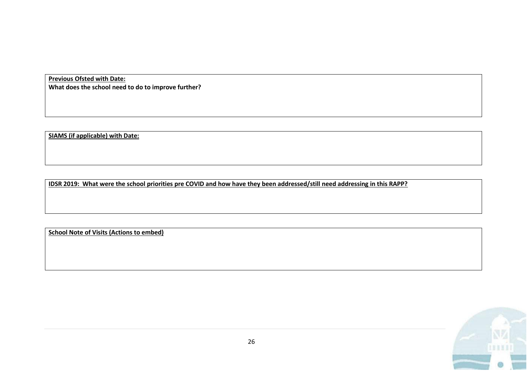**Previous Ofsted with Date: What does the school need to do to improve further?** 

**SIAMS (if applicable) with Date:**

**IDSR 2019: What were the school priorities pre COVID and how have they been addressed/still need addressing in this RAPP?**

**School Note of Visits (Actions to embed)**

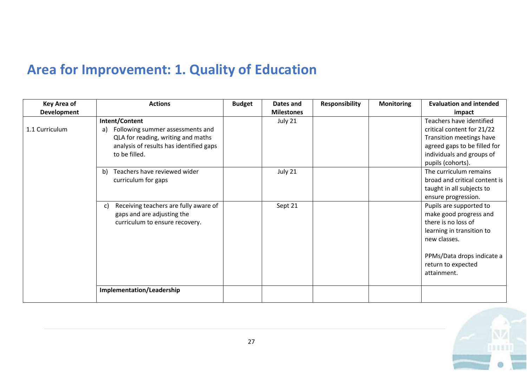# **Area for Improvement: 1. Quality of Education**

| <b>Key Area of</b> | <b>Actions</b>                              | <b>Budget</b> | Dates and         | <b>Responsibility</b> | <b>Monitoring</b> | <b>Evaluation and intended</b> |
|--------------------|---------------------------------------------|---------------|-------------------|-----------------------|-------------------|--------------------------------|
| Development        |                                             |               | <b>Milestones</b> |                       |                   | impact                         |
|                    | Intent/Content                              |               | July 21           |                       |                   | Teachers have identified       |
| 1.1 Curriculum     | Following summer assessments and<br>a)      |               |                   |                       |                   | critical content for 21/22     |
|                    | QLA for reading, writing and maths          |               |                   |                       |                   | Transition meetings have       |
|                    | analysis of results has identified gaps     |               |                   |                       |                   | agreed gaps to be filled for   |
|                    | to be filled.                               |               |                   |                       |                   | individuals and groups of      |
|                    |                                             |               |                   |                       |                   | pupils (cohorts).              |
|                    | Teachers have reviewed wider<br>b)          |               | July 21           |                       |                   | The curriculum remains         |
|                    | curriculum for gaps                         |               |                   |                       |                   | broad and critical content is  |
|                    |                                             |               |                   |                       |                   | taught in all subjects to      |
|                    |                                             |               |                   |                       |                   | ensure progression.            |
|                    | Receiving teachers are fully aware of<br>C) |               | Sept 21           |                       |                   | Pupils are supported to        |
|                    | gaps and are adjusting the                  |               |                   |                       |                   | make good progress and         |
|                    | curriculum to ensure recovery.              |               |                   |                       |                   | there is no loss of            |
|                    |                                             |               |                   |                       |                   | learning in transition to      |
|                    |                                             |               |                   |                       |                   | new classes.                   |
|                    |                                             |               |                   |                       |                   |                                |
|                    |                                             |               |                   |                       |                   | PPMs/Data drops indicate a     |
|                    |                                             |               |                   |                       |                   | return to expected             |
|                    |                                             |               |                   |                       |                   | attainment.                    |
|                    |                                             |               |                   |                       |                   |                                |
|                    | Implementation/Leadership                   |               |                   |                       |                   |                                |
|                    |                                             |               |                   |                       |                   |                                |

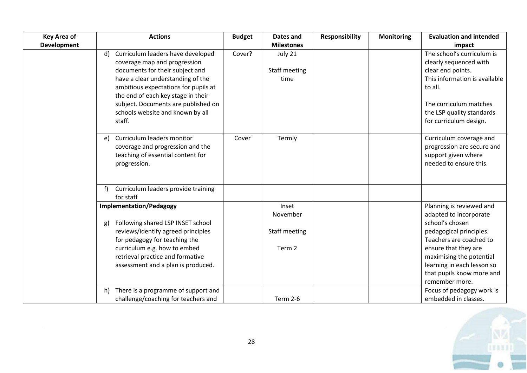| <b>Key Area of</b> | <b>Actions</b>                                                                                                                                                                                                                                                                                                     | <b>Budget</b> | Dates and                                    | <b>Responsibility</b> | <b>Monitoring</b> | <b>Evaluation and intended</b>                                                                                                                                                                                                                               |
|--------------------|--------------------------------------------------------------------------------------------------------------------------------------------------------------------------------------------------------------------------------------------------------------------------------------------------------------------|---------------|----------------------------------------------|-----------------------|-------------------|--------------------------------------------------------------------------------------------------------------------------------------------------------------------------------------------------------------------------------------------------------------|
| <b>Development</b> |                                                                                                                                                                                                                                                                                                                    |               | <b>Milestones</b>                            |                       |                   | impact                                                                                                                                                                                                                                                       |
|                    | Curriculum leaders have developed<br>d)<br>coverage map and progression<br>documents for their subject and<br>have a clear understanding of the<br>ambitious expectations for pupils at<br>the end of each key stage in their<br>subject. Documents are published on<br>schools website and known by all<br>staff. | Cover?        | July 21<br>Staff meeting<br>time             |                       |                   | The school's curriculum is<br>clearly sequenced with<br>clear end points.<br>This information is available<br>to all.<br>The curriculum matches<br>the LSP quality standards<br>for curriculum design.                                                       |
|                    | Curriculum leaders monitor<br>e)<br>coverage and progression and the<br>teaching of essential content for<br>progression.                                                                                                                                                                                          | Cover         | Termly                                       |                       |                   | Curriculum coverage and<br>progression are secure and<br>support given where<br>needed to ensure this.                                                                                                                                                       |
|                    | Curriculum leaders provide training<br>for staff                                                                                                                                                                                                                                                                   |               |                                              |                       |                   |                                                                                                                                                                                                                                                              |
|                    | <b>Implementation/Pedagogy</b><br>Following shared LSP INSET school<br>g)<br>reviews/identify agreed principles<br>for pedagogy for teaching the<br>curriculum e.g. how to embed<br>retrieval practice and formative<br>assessment and a plan is produced.                                                         |               | Inset<br>November<br>Staff meeting<br>Term 2 |                       |                   | Planning is reviewed and<br>adapted to incorporate<br>school's chosen<br>pedagogical principles.<br>Teachers are coached to<br>ensure that they are<br>maximising the potential<br>learning in each lesson so<br>that pupils know more and<br>remember more. |
|                    | There is a programme of support and<br>h)<br>challenge/coaching for teachers and                                                                                                                                                                                                                                   |               | <b>Term 2-6</b>                              |                       |                   | Focus of pedagogy work is<br>embedded in classes.                                                                                                                                                                                                            |

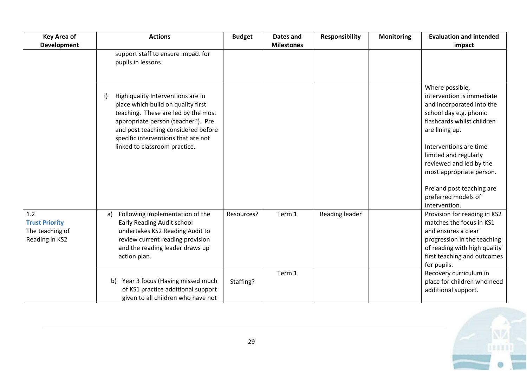| <b>Key Area of</b>                                                | <b>Actions</b>                                                                                                                                                                                                                                                            | <b>Budget</b> | Dates and         | <b>Responsibility</b> | <b>Monitoring</b> | <b>Evaluation and intended</b>                                                                                                                                                                                                                                                                                                     |
|-------------------------------------------------------------------|---------------------------------------------------------------------------------------------------------------------------------------------------------------------------------------------------------------------------------------------------------------------------|---------------|-------------------|-----------------------|-------------------|------------------------------------------------------------------------------------------------------------------------------------------------------------------------------------------------------------------------------------------------------------------------------------------------------------------------------------|
| <b>Development</b>                                                |                                                                                                                                                                                                                                                                           |               | <b>Milestones</b> |                       |                   | impact                                                                                                                                                                                                                                                                                                                             |
|                                                                   | support staff to ensure impact for<br>pupils in lessons.                                                                                                                                                                                                                  |               |                   |                       |                   |                                                                                                                                                                                                                                                                                                                                    |
|                                                                   | High quality Interventions are in<br>i)<br>place which build on quality first<br>teaching. These are led by the most<br>appropriate person (teacher?). Pre<br>and post teaching considered before<br>specific interventions that are not<br>linked to classroom practice. |               |                   |                       |                   | Where possible,<br>intervention is immediate<br>and incorporated into the<br>school day e.g. phonic<br>flashcards whilst children<br>are lining up.<br>Interventions are time<br>limited and regularly<br>reviewed and led by the<br>most appropriate person.<br>Pre and post teaching are<br>preferred models of<br>intervention. |
| 1.2<br><b>Trust Priority</b><br>The teaching of<br>Reading in KS2 | Following implementation of the<br>a)<br>Early Reading Audit school<br>undertakes KS2 Reading Audit to<br>review current reading provision<br>and the reading leader draws up<br>action plan.                                                                             | Resources?    | Term 1            | Reading leader        |                   | Provision for reading in KS2<br>matches the focus in KS1<br>and ensures a clear<br>progression in the teaching<br>of reading with high quality<br>first teaching and outcomes<br>for pupils.                                                                                                                                       |
|                                                                   | Year 3 focus (Having missed much<br>b)<br>of KS1 practice additional support<br>given to all children who have not                                                                                                                                                        | Staffing?     | Term 1            |                       |                   | Recovery curriculum in<br>place for children who need<br>additional support.                                                                                                                                                                                                                                                       |

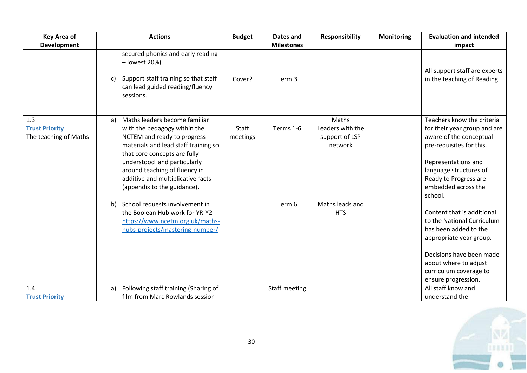| <b>Key Area of</b>                                    | <b>Actions</b>                                                                                                                                                                                                                                                                                                 | <b>Budget</b>     | Dates and         | <b>Responsibility</b>                                  | <b>Monitoring</b> | <b>Evaluation and intended</b>                                                                                                                                                                                                |
|-------------------------------------------------------|----------------------------------------------------------------------------------------------------------------------------------------------------------------------------------------------------------------------------------------------------------------------------------------------------------------|-------------------|-------------------|--------------------------------------------------------|-------------------|-------------------------------------------------------------------------------------------------------------------------------------------------------------------------------------------------------------------------------|
| <b>Development</b>                                    |                                                                                                                                                                                                                                                                                                                |                   | <b>Milestones</b> |                                                        |                   | impact                                                                                                                                                                                                                        |
|                                                       | secured phonics and early reading<br>- lowest 20%)                                                                                                                                                                                                                                                             |                   |                   |                                                        |                   |                                                                                                                                                                                                                               |
|                                                       | Support staff training so that staff<br>C)<br>can lead guided reading/fluency<br>sessions.                                                                                                                                                                                                                     | Cover?            | Term 3            |                                                        |                   | All support staff are experts<br>in the teaching of Reading.                                                                                                                                                                  |
| 1.3<br><b>Trust Priority</b><br>The teaching of Maths | Maths leaders become familiar<br>a)<br>with the pedagogy within the<br>NCTEM and ready to progress<br>materials and lead staff training so<br>that core concepts are fully<br>understood and particularly<br>around teaching of fluency in<br>additive and multiplicative facts<br>(appendix to the guidance). | Staff<br>meetings | Terms 1-6         | Maths<br>Leaders with the<br>support of LSP<br>network |                   | Teachers know the criteria<br>for their year group and are<br>aware of the conceptual<br>pre-requisites for this.<br>Representations and<br>language structures of<br>Ready to Progress are<br>embedded across the<br>school. |
|                                                       | b) School requests involvement in<br>the Boolean Hub work for YR-Y2<br>https://www.ncetm.org.uk/maths-<br>hubs-projects/mastering-number/                                                                                                                                                                      |                   | Term 6            | Maths leads and<br><b>HTS</b>                          |                   | Content that is additional<br>to the National Curriculum<br>has been added to the<br>appropriate year group.<br>Decisions have been made<br>about where to adjust<br>curriculum coverage to<br>ensure progression.            |
| 1.4                                                   | Following staff training (Sharing of<br>a)                                                                                                                                                                                                                                                                     |                   | Staff meeting     |                                                        |                   | All staff know and                                                                                                                                                                                                            |
| <b>Trust Priority</b>                                 | film from Marc Rowlands session                                                                                                                                                                                                                                                                                |                   |                   |                                                        |                   | understand the                                                                                                                                                                                                                |

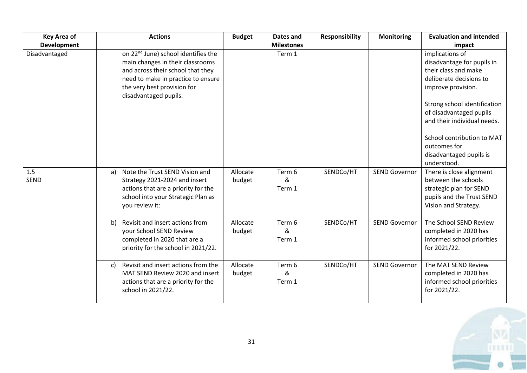| <b>Key Area of</b> | <b>Actions</b>                                                                                                                                                                                                         | <b>Budget</b>      | Dates and              | <b>Responsibility</b> | <b>Monitoring</b>    | <b>Evaluation and intended</b>                                                                                                                                                                                                                                                                           |
|--------------------|------------------------------------------------------------------------------------------------------------------------------------------------------------------------------------------------------------------------|--------------------|------------------------|-----------------------|----------------------|----------------------------------------------------------------------------------------------------------------------------------------------------------------------------------------------------------------------------------------------------------------------------------------------------------|
| <b>Development</b> |                                                                                                                                                                                                                        |                    | <b>Milestones</b>      |                       |                      | impact                                                                                                                                                                                                                                                                                                   |
| Disadvantaged      | on 22 <sup>nd</sup> June) school identifies the<br>main changes in their classrooms<br>and across their school that they<br>need to make in practice to ensure<br>the very best provision for<br>disadvantaged pupils. |                    | Term 1                 |                       |                      | implications of<br>disadvantage for pupils in<br>their class and make<br>deliberate decisions to<br>improve provision.<br>Strong school identification<br>of disadvantaged pupils<br>and their individual needs.<br>School contribution to MAT<br>outcomes for<br>disadvantaged pupils is<br>understood. |
| 1.5<br><b>SEND</b> | Note the Trust SEND Vision and<br>a)<br>Strategy 2021-2024 and insert<br>actions that are a priority for the<br>school into your Strategic Plan as<br>you review it:                                                   | Allocate<br>budget | Term 6<br>୍ଷ<br>Term 1 | SENDCo/HT             | <b>SEND Governor</b> | There is close alignment<br>between the schools<br>strategic plan for SEND<br>pupils and the Trust SEND<br>Vision and Strategy.                                                                                                                                                                          |
|                    | Revisit and insert actions from<br>b)<br>your School SEND Review<br>completed in 2020 that are a<br>priority for the school in 2021/22.                                                                                | Allocate<br>budget | Term 6<br>&<br>Term 1  | SENDCo/HT             | <b>SEND Governor</b> | The School SEND Review<br>completed in 2020 has<br>informed school priorities<br>for 2021/22.                                                                                                                                                                                                            |
|                    | Revisit and insert actions from the<br>c)<br>MAT SEND Review 2020 and insert<br>actions that are a priority for the<br>school in 2021/22.                                                                              | Allocate<br>budget | Term 6<br>&<br>Term 1  | SENDCo/HT             | <b>SEND Governor</b> | The MAT SEND Review<br>completed in 2020 has<br>informed school priorities<br>for 2021/22.                                                                                                                                                                                                               |

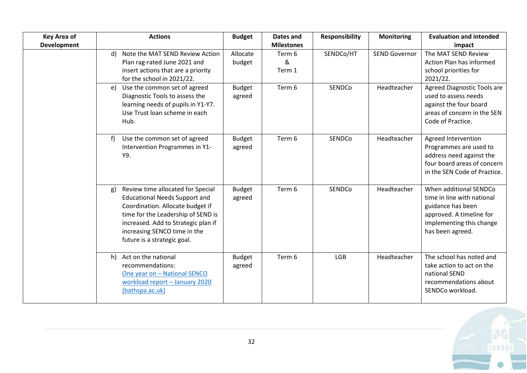| <b>Key Area of</b> | <b>Actions</b>                                                                                                                                                                                                                                                  | <b>Budget</b>           | <b>Dates and</b>      | <b>Responsibility</b> | <b>Monitoring</b>    | <b>Evaluation and intended</b>                                                                                                                        |
|--------------------|-----------------------------------------------------------------------------------------------------------------------------------------------------------------------------------------------------------------------------------------------------------------|-------------------------|-----------------------|-----------------------|----------------------|-------------------------------------------------------------------------------------------------------------------------------------------------------|
| <b>Development</b> |                                                                                                                                                                                                                                                                 |                         | <b>Milestones</b>     |                       |                      | impact                                                                                                                                                |
|                    | Note the MAT SEND Review Action<br>d)<br>Plan rag-rated June 2021 and<br>insert actions that are a priority<br>for the school in 2021/22.                                                                                                                       | Allocate<br>budget      | Term 6<br>&<br>Term 1 | SENDCo/HT             | <b>SEND Governor</b> | The MAT SEND Review<br>Action Plan has informed<br>school priorities for<br>2021/22.                                                                  |
|                    | Use the common set of agreed<br>e)<br>Diagnostic Tools to assess the<br>learning needs of pupils in Y1-Y7.<br>Use Trust loan scheme in each<br>Hub.                                                                                                             | <b>Budget</b><br>agreed | Term 6                | SENDCo                | Headteacher          | Agreed Diagnostic Tools are<br>used to assess needs<br>against the four board<br>areas of concern in the SEN<br>Code of Practice.                     |
|                    | Use the common set of agreed<br>f)<br>Intervention Programmes in Y1-<br>Y9.                                                                                                                                                                                     | <b>Budget</b><br>agreed | Term 6                | SENDCo                | Headteacher          | Agreed Intervention<br>Programmes are used to<br>address need against the<br>four board areas of concern<br>in the SEN Code of Practice.              |
|                    | Review time allocated for Special<br>g)<br><b>Educational Needs Support and</b><br>Coordination. Allocate budget if<br>time for the Leadership of SEND is<br>increased. Add to Strategic plan if<br>increasing SENCO time in the<br>future is a strategic goal. | <b>Budget</b><br>agreed | Term 6                | SENDCo                | Headteacher          | When additional SENDCo<br>time in line with national<br>guidance has been<br>approved. A timeline for<br>implementing this change<br>has been agreed. |
|                    | h) Act on the national<br>recommendations:<br>One year on - National SENCO<br>workload report - January 2020<br>(bathspa.ac.uk)                                                                                                                                 | <b>Budget</b><br>agreed | Term 6                | <b>LGB</b>            | Headteacher          | The school has noted and<br>take action to act on the<br>national SEND<br>recommendations about<br>SENDCo workload.                                   |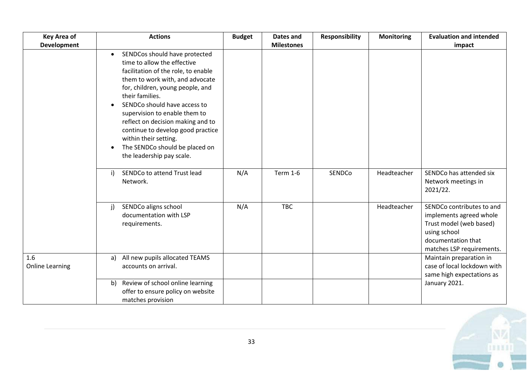| <b>Key Area of</b>            | <b>Actions</b>                                                                                                                                                                                                                                                                                                                                                                                                                                | <b>Budget</b> | Dates and         | <b>Responsibility</b> | <b>Monitoring</b> | <b>Evaluation and intended</b>                                                                                                                     |
|-------------------------------|-----------------------------------------------------------------------------------------------------------------------------------------------------------------------------------------------------------------------------------------------------------------------------------------------------------------------------------------------------------------------------------------------------------------------------------------------|---------------|-------------------|-----------------------|-------------------|----------------------------------------------------------------------------------------------------------------------------------------------------|
| <b>Development</b>            |                                                                                                                                                                                                                                                                                                                                                                                                                                               |               | <b>Milestones</b> |                       |                   | impact                                                                                                                                             |
|                               | SENDCos should have protected<br>$\bullet$<br>time to allow the effective<br>facilitation of the role, to enable<br>them to work with, and advocate<br>for, children, young people, and<br>their families.<br>SENDCo should have access to<br>supervision to enable them to<br>reflect on decision making and to<br>continue to develop good practice<br>within their setting.<br>The SENDCo should be placed on<br>the leadership pay scale. |               |                   |                       |                   |                                                                                                                                                    |
|                               | SENDCo to attend Trust lead<br>$\mathsf{i}$<br>Network.                                                                                                                                                                                                                                                                                                                                                                                       | N/A           | <b>Term 1-6</b>   | SENDCo                | Headteacher       | SENDCo has attended six<br>Network meetings in<br>2021/22.                                                                                         |
|                               | SENDCo aligns school<br>j)<br>documentation with LSP<br>requirements.                                                                                                                                                                                                                                                                                                                                                                         | N/A           | <b>TBC</b>        |                       | Headteacher       | SENDCo contributes to and<br>implements agreed whole<br>Trust model (web based)<br>using school<br>documentation that<br>matches LSP requirements. |
| 1.6<br><b>Online Learning</b> | All new pupils allocated TEAMS<br>a)<br>accounts on arrival.                                                                                                                                                                                                                                                                                                                                                                                  |               |                   |                       |                   | Maintain preparation in<br>case of local lockdown with<br>same high expectations as                                                                |
|                               | Review of school online learning<br>b)<br>offer to ensure policy on website<br>matches provision                                                                                                                                                                                                                                                                                                                                              |               |                   |                       |                   | January 2021.                                                                                                                                      |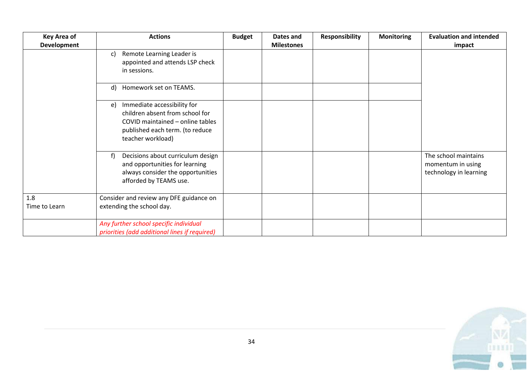| <b>Key Area of</b>   | <b>Actions</b>                                                                                                                                                   | <b>Budget</b> | Dates and         | <b>Responsibility</b> | <b>Monitoring</b> | <b>Evaluation and intended</b>                                      |
|----------------------|------------------------------------------------------------------------------------------------------------------------------------------------------------------|---------------|-------------------|-----------------------|-------------------|---------------------------------------------------------------------|
| <b>Development</b>   |                                                                                                                                                                  |               | <b>Milestones</b> |                       |                   | impact                                                              |
|                      | Remote Learning Leader is<br>c)<br>appointed and attends LSP check<br>in sessions.                                                                               |               |                   |                       |                   |                                                                     |
|                      | Homework set on TEAMS.<br>$\mathsf{d}$                                                                                                                           |               |                   |                       |                   |                                                                     |
|                      | Immediate accessibility for<br>e)<br>children absent from school for<br>COVID maintained - online tables<br>published each term. (to reduce<br>teacher workload) |               |                   |                       |                   |                                                                     |
|                      | Decisions about curriculum design<br>f)<br>and opportunities for learning<br>always consider the opportunities<br>afforded by TEAMS use.                         |               |                   |                       |                   | The school maintains<br>momentum in using<br>technology in learning |
| 1.8<br>Time to Learn | Consider and review any DFE guidance on<br>extending the school day.                                                                                             |               |                   |                       |                   |                                                                     |
|                      | Any further school specific individual<br>priorities (add additional lines if required)                                                                          |               |                   |                       |                   |                                                                     |

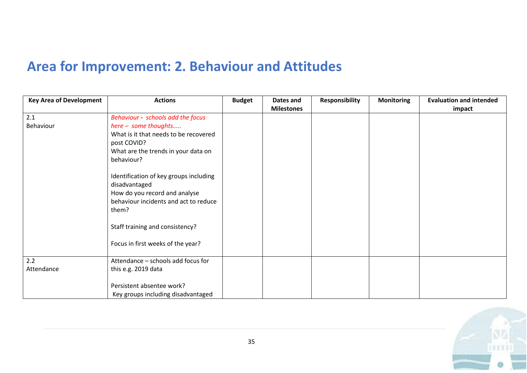# **Area for Improvement: 2. Behaviour and Attitudes**

| <b>Key Area of Development</b> | <b>Actions</b>                                                  | <b>Budget</b> | Dates and         | <b>Responsibility</b> | <b>Monitoring</b> | <b>Evaluation and intended</b> |
|--------------------------------|-----------------------------------------------------------------|---------------|-------------------|-----------------------|-------------------|--------------------------------|
|                                |                                                                 |               | <b>Milestones</b> |                       |                   | impact                         |
| 2.1                            | Behaviour - schools add the focus                               |               |                   |                       |                   |                                |
| Behaviour                      | here - some thoughts                                            |               |                   |                       |                   |                                |
|                                | What is it that needs to be recovered                           |               |                   |                       |                   |                                |
|                                | post COVID?                                                     |               |                   |                       |                   |                                |
|                                | What are the trends in your data on                             |               |                   |                       |                   |                                |
|                                | behaviour?                                                      |               |                   |                       |                   |                                |
|                                | Identification of key groups including                          |               |                   |                       |                   |                                |
|                                | disadvantaged                                                   |               |                   |                       |                   |                                |
|                                | How do you record and analyse                                   |               |                   |                       |                   |                                |
|                                | behaviour incidents and act to reduce                           |               |                   |                       |                   |                                |
|                                | them?                                                           |               |                   |                       |                   |                                |
|                                | Staff training and consistency?                                 |               |                   |                       |                   |                                |
|                                | Focus in first weeks of the year?                               |               |                   |                       |                   |                                |
| 2.2                            | Attendance - schools add focus for                              |               |                   |                       |                   |                                |
| Attendance                     | this e.g. 2019 data                                             |               |                   |                       |                   |                                |
|                                | Persistent absentee work?<br>Key groups including disadvantaged |               |                   |                       |                   |                                |

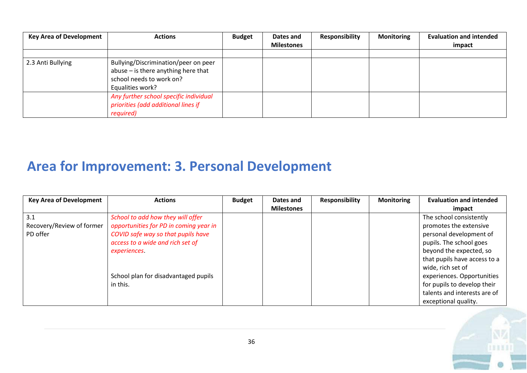| <b>Key Area of Development</b> | <b>Actions</b>                                                                                                              | <b>Budget</b> | Dates and         | <b>Responsibility</b> | <b>Monitoring</b> | <b>Evaluation and intended</b> |
|--------------------------------|-----------------------------------------------------------------------------------------------------------------------------|---------------|-------------------|-----------------------|-------------------|--------------------------------|
|                                |                                                                                                                             |               | <b>Milestones</b> |                       |                   | impact                         |
|                                |                                                                                                                             |               |                   |                       |                   |                                |
| 2.3 Anti Bullying              | Bullying/Discrimination/peer on peer<br>abuse - is there anything here that<br>school needs to work on?<br>Equalities work? |               |                   |                       |                   |                                |
|                                | Any further school specific individual<br>priorities (add additional lines if<br>required)                                  |               |                   |                       |                   |                                |

# **Area for Improvement: 3. Personal Development**

| <b>Key Area of Development</b> | <b>Actions</b>                         | <b>Budget</b> | Dates and         | <b>Responsibility</b> | <b>Monitoring</b> | <b>Evaluation and intended</b> |
|--------------------------------|----------------------------------------|---------------|-------------------|-----------------------|-------------------|--------------------------------|
|                                |                                        |               | <b>Milestones</b> |                       |                   | impact                         |
| 3.1                            | School to add how they will offer      |               |                   |                       |                   | The school consistently        |
| Recovery/Review of former      | opportunities for PD in coming year in |               |                   |                       |                   | promotes the extensive         |
| PD offer                       | COVID safe way so that pupils have     |               |                   |                       |                   | personal development of        |
|                                | access to a wide and rich set of       |               |                   |                       |                   | pupils. The school goes        |
|                                | experiences.                           |               |                   |                       |                   | beyond the expected, so        |
|                                |                                        |               |                   |                       |                   | that pupils have access to a   |
|                                |                                        |               |                   |                       |                   | wide, rich set of              |
|                                | School plan for disadvantaged pupils   |               |                   |                       |                   | experiences. Opportunities     |
|                                | in this.                               |               |                   |                       |                   | for pupils to develop their    |
|                                |                                        |               |                   |                       |                   | talents and interests are of   |
|                                |                                        |               |                   |                       |                   | exceptional quality.           |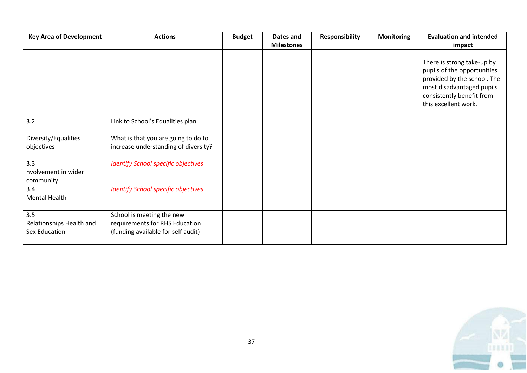| <b>Key Area of Development</b>                   | <b>Actions</b>                                                                                    | <b>Budget</b> | <b>Dates and</b>  | <b>Responsibility</b> | <b>Monitoring</b> | <b>Evaluation and intended</b>                                                                                                                                             |
|--------------------------------------------------|---------------------------------------------------------------------------------------------------|---------------|-------------------|-----------------------|-------------------|----------------------------------------------------------------------------------------------------------------------------------------------------------------------------|
|                                                  |                                                                                                   |               | <b>Milestones</b> |                       |                   | impact                                                                                                                                                                     |
|                                                  |                                                                                                   |               |                   |                       |                   | There is strong take-up by<br>pupils of the opportunities<br>provided by the school. The<br>most disadvantaged pupils<br>consistently benefit from<br>this excellent work. |
| 3.2                                              | Link to School's Equalities plan                                                                  |               |                   |                       |                   |                                                                                                                                                                            |
| Diversity/Equalities<br>objectives               | What is that you are going to do to<br>increase understanding of diversity?                       |               |                   |                       |                   |                                                                                                                                                                            |
| 3.3<br>nvolvement in wider<br>community          | <b>Identify School specific objectives</b>                                                        |               |                   |                       |                   |                                                                                                                                                                            |
| 3.4<br><b>Mental Health</b>                      | <b>Identify School specific objectives</b>                                                        |               |                   |                       |                   |                                                                                                                                                                            |
| 3.5<br>Relationships Health and<br>Sex Education | School is meeting the new<br>requirements for RHS Education<br>(funding available for self audit) |               |                   |                       |                   |                                                                                                                                                                            |

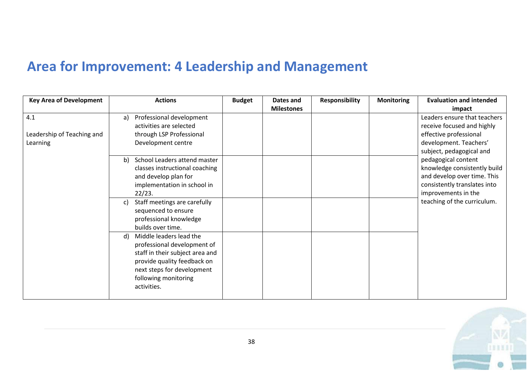# **Area for Improvement: 4 Leadership and Management**

| <b>Key Area of Development</b> |    | <b>Actions</b>                  | <b>Budget</b> | Dates and         | <b>Responsibility</b> | <b>Monitoring</b> | <b>Evaluation and intended</b> |
|--------------------------------|----|---------------------------------|---------------|-------------------|-----------------------|-------------------|--------------------------------|
|                                |    |                                 |               | <b>Milestones</b> |                       |                   | impact                         |
| 4.1                            | a) | Professional development        |               |                   |                       |                   | Leaders ensure that teachers   |
|                                |    | activities are selected         |               |                   |                       |                   | receive focused and highly     |
| Leadership of Teaching and     |    | through LSP Professional        |               |                   |                       |                   | effective professional         |
| Learning                       |    | Development centre              |               |                   |                       |                   | development. Teachers'         |
|                                |    |                                 |               |                   |                       |                   | subject, pedagogical and       |
|                                |    | b) School Leaders attend master |               |                   |                       |                   | pedagogical content            |
|                                |    | classes instructional coaching  |               |                   |                       |                   | knowledge consistently build   |
|                                |    | and develop plan for            |               |                   |                       |                   | and develop over time. This    |
|                                |    | implementation in school in     |               |                   |                       |                   | consistently translates into   |
|                                |    | 22/23.                          |               |                   |                       |                   | improvements in the            |
|                                | C) | Staff meetings are carefully    |               |                   |                       |                   | teaching of the curriculum.    |
|                                |    | sequenced to ensure             |               |                   |                       |                   |                                |
|                                |    | professional knowledge          |               |                   |                       |                   |                                |
|                                |    | builds over time.               |               |                   |                       |                   |                                |
|                                | d) | Middle leaders lead the         |               |                   |                       |                   |                                |
|                                |    | professional development of     |               |                   |                       |                   |                                |
|                                |    | staff in their subject area and |               |                   |                       |                   |                                |
|                                |    | provide quality feedback on     |               |                   |                       |                   |                                |
|                                |    | next steps for development      |               |                   |                       |                   |                                |
|                                |    | following monitoring            |               |                   |                       |                   |                                |
|                                |    | activities.                     |               |                   |                       |                   |                                |
|                                |    |                                 |               |                   |                       |                   |                                |

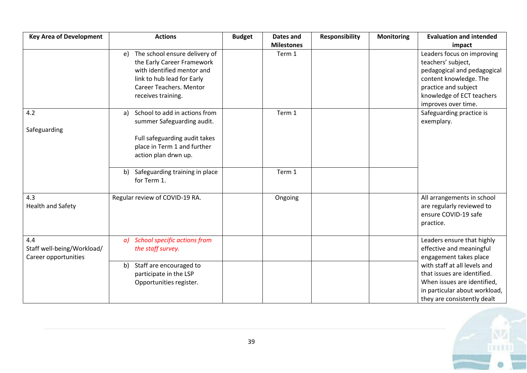| <b>Key Area of Development</b>                            | <b>Actions</b>                                                                                                                                                                                    | <b>Budget</b> | <b>Dates and</b>  | <b>Responsibility</b> | <b>Monitoring</b> | <b>Evaluation and intended</b>                                                                                                                                                                                                                 |
|-----------------------------------------------------------|---------------------------------------------------------------------------------------------------------------------------------------------------------------------------------------------------|---------------|-------------------|-----------------------|-------------------|------------------------------------------------------------------------------------------------------------------------------------------------------------------------------------------------------------------------------------------------|
|                                                           |                                                                                                                                                                                                   |               | <b>Milestones</b> |                       |                   | impact                                                                                                                                                                                                                                         |
|                                                           | e) The school ensure delivery of<br>the Early Career Framework<br>with identified mentor and<br>link to hub lead for Early<br>Career Teachers. Mentor<br>receives training.                       |               | Term 1            |                       |                   | Leaders focus on improving<br>teachers' subject,<br>pedagogical and pedagogical<br>content knowledge. The<br>practice and subject<br>knowledge of ECT teachers<br>improves over time.                                                          |
| 4.2<br>Safeguarding                                       | School to add in actions from<br>a)<br>summer Safeguarding audit.<br>Full safeguarding audit takes<br>place in Term 1 and further<br>action plan drwn up.<br>Safeguarding training in place<br>b) |               | Term 1<br>Term 1  |                       |                   | Safeguarding practice is<br>exemplary.                                                                                                                                                                                                         |
| 4.3<br><b>Health and Safety</b>                           | for Term 1.<br>Regular review of COVID-19 RA.                                                                                                                                                     |               | Ongoing           |                       |                   | All arrangements in school<br>are regularly reviewed to<br>ensure COVID-19 safe<br>practice.                                                                                                                                                   |
| 4.4<br>Staff well-being/Workload/<br>Career opportunities | <b>School specific actions from</b><br>a)<br>the staff survey.<br>b) Staff are encouraged to<br>participate in the LSP<br>Opportunities register.                                                 |               |                   |                       |                   | Leaders ensure that highly<br>effective and meaningful<br>engagement takes place<br>with staff at all levels and<br>that issues are identified.<br>When issues are identified,<br>in particular about workload,<br>they are consistently dealt |

1883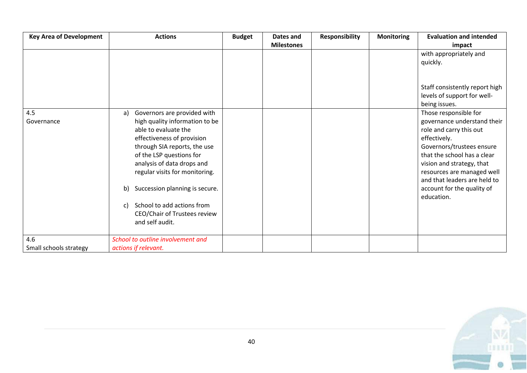| <b>Key Area of Development</b> | <b>Actions</b>                       | <b>Budget</b> | Dates and         | <b>Responsibility</b> | <b>Monitoring</b> | <b>Evaluation and intended</b> |
|--------------------------------|--------------------------------------|---------------|-------------------|-----------------------|-------------------|--------------------------------|
|                                |                                      |               | <b>Milestones</b> |                       |                   | impact                         |
|                                |                                      |               |                   |                       |                   | with appropriately and         |
|                                |                                      |               |                   |                       |                   | quickly.                       |
|                                |                                      |               |                   |                       |                   |                                |
|                                |                                      |               |                   |                       |                   |                                |
|                                |                                      |               |                   |                       |                   | Staff consistently report high |
|                                |                                      |               |                   |                       |                   | levels of support for well-    |
|                                |                                      |               |                   |                       |                   | being issues.                  |
| 4.5                            | Governors are provided with<br>a)    |               |                   |                       |                   | Those responsible for          |
| Governance                     | high quality information to be       |               |                   |                       |                   | governance understand their    |
|                                | able to evaluate the                 |               |                   |                       |                   | role and carry this out        |
|                                | effectiveness of provision           |               |                   |                       |                   | effectively.                   |
|                                | through SIA reports, the use         |               |                   |                       |                   | Governors/trustees ensure      |
|                                | of the LSP questions for             |               |                   |                       |                   | that the school has a clear    |
|                                | analysis of data drops and           |               |                   |                       |                   | vision and strategy, that      |
|                                | regular visits for monitoring.       |               |                   |                       |                   | resources are managed well     |
|                                |                                      |               |                   |                       |                   | and that leaders are held to   |
|                                | Succession planning is secure.<br>b) |               |                   |                       |                   | account for the quality of     |
|                                |                                      |               |                   |                       |                   | education.                     |
|                                | School to add actions from<br>c)     |               |                   |                       |                   |                                |
|                                | CEO/Chair of Trustees review         |               |                   |                       |                   |                                |
|                                | and self audit.                      |               |                   |                       |                   |                                |
| 4.6                            | School to outline involvement and    |               |                   |                       |                   |                                |
| Small schools strategy         | actions if relevant.                 |               |                   |                       |                   |                                |

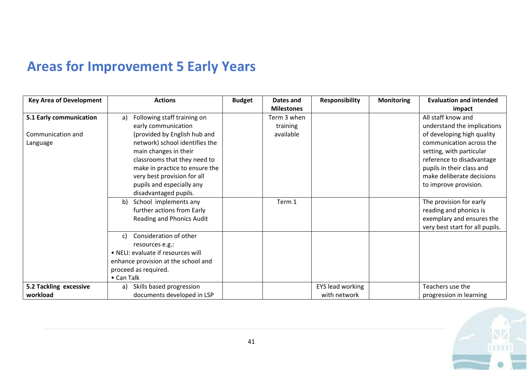# **Areas for Improvement 5 Early Years**

| <b>Key Area of Development</b> | <b>Actions</b>                              | <b>Budget</b> | Dates and         | <b>Responsibility</b>   | <b>Monitoring</b> | <b>Evaluation and intended</b>  |
|--------------------------------|---------------------------------------------|---------------|-------------------|-------------------------|-------------------|---------------------------------|
|                                |                                             |               | <b>Milestones</b> |                         |                   | impact                          |
| 5.1 Early communication        | Following staff training on<br>$\mathsf{a}$ |               | Term 3 when       |                         |                   | All staff know and              |
|                                | early communication                         |               | training          |                         |                   | understand the implications     |
| Communication and              | (provided by English hub and                |               | available         |                         |                   | of developing high quality      |
| Language                       | network) school identifies the              |               |                   |                         |                   | communication across the        |
|                                | main changes in their                       |               |                   |                         |                   | setting, with particular        |
|                                | classrooms that they need to                |               |                   |                         |                   | reference to disadvantage       |
|                                | make in practice to ensure the              |               |                   |                         |                   | pupils in their class and       |
|                                | very best provision for all                 |               |                   |                         |                   | make deliberate decisions       |
|                                | pupils and especially any                   |               |                   |                         |                   | to improve provision.           |
|                                | disadvantaged pupils.                       |               |                   |                         |                   |                                 |
|                                | School implements any<br>b)                 |               | Term 1            |                         |                   | The provision for early         |
|                                | further actions from Early                  |               |                   |                         |                   | reading and phonics is          |
|                                | Reading and Phonics Audit                   |               |                   |                         |                   | exemplary and ensures the       |
|                                |                                             |               |                   |                         |                   | very best start for all pupils. |
|                                | Consideration of other<br>c)                |               |                   |                         |                   |                                 |
|                                | resources e.g.:                             |               |                   |                         |                   |                                 |
|                                | • NELI: evaluate if resources will          |               |                   |                         |                   |                                 |
|                                | enhance provision at the school and         |               |                   |                         |                   |                                 |
|                                | proceed as required.                        |               |                   |                         |                   |                                 |
|                                | • Can Talk                                  |               |                   |                         |                   |                                 |
| 5.2 Tackling excessive         | Skills based progression<br>a)              |               |                   | <b>EYS lead working</b> |                   | Teachers use the                |
| workload                       | documents developed in LSP                  |               |                   | with network            |                   | progression in learning         |

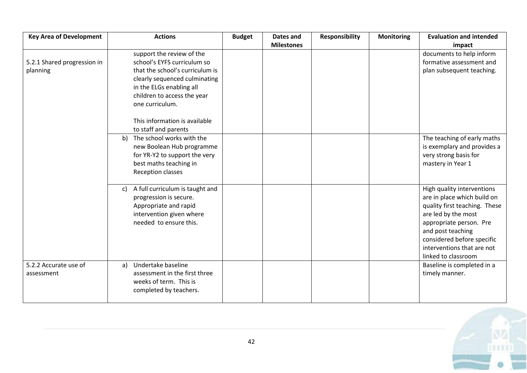| <b>Key Area of Development</b> | <b>Actions</b>                        | <b>Budget</b> | Dates and         | <b>Responsibility</b> | <b>Monitoring</b> | <b>Evaluation and intended</b> |
|--------------------------------|---------------------------------------|---------------|-------------------|-----------------------|-------------------|--------------------------------|
|                                |                                       |               | <b>Milestones</b> |                       |                   | impact                         |
|                                | support the review of the             |               |                   |                       |                   | documents to help inform       |
| 5.2.1 Shared progression in    | school's EYFS curriculum so           |               |                   |                       |                   | formative assessment and       |
| planning                       | that the school's curriculum is       |               |                   |                       |                   | plan subsequent teaching.      |
|                                | clearly sequenced culminating         |               |                   |                       |                   |                                |
|                                | in the ELGs enabling all              |               |                   |                       |                   |                                |
|                                | children to access the year           |               |                   |                       |                   |                                |
|                                | one curriculum.                       |               |                   |                       |                   |                                |
|                                | This information is available         |               |                   |                       |                   |                                |
|                                | to staff and parents                  |               |                   |                       |                   |                                |
|                                | b) The school works with the          |               |                   |                       |                   | The teaching of early maths    |
|                                | new Boolean Hub programme             |               |                   |                       |                   | is exemplary and provides a    |
|                                | for YR-Y2 to support the very         |               |                   |                       |                   | very strong basis for          |
|                                | best maths teaching in                |               |                   |                       |                   | mastery in Year 1              |
|                                | Reception classes                     |               |                   |                       |                   |                                |
|                                | A full curriculum is taught and<br>c) |               |                   |                       |                   | High quality interventions     |
|                                | progression is secure.                |               |                   |                       |                   | are in place which build on    |
|                                | Appropriate and rapid                 |               |                   |                       |                   | quality first teaching. These  |
|                                | intervention given where              |               |                   |                       |                   | are led by the most            |
|                                | needed to ensure this.                |               |                   |                       |                   | appropriate person. Pre        |
|                                |                                       |               |                   |                       |                   | and post teaching              |
|                                |                                       |               |                   |                       |                   | considered before specific     |
|                                |                                       |               |                   |                       |                   | interventions that are not     |
|                                |                                       |               |                   |                       |                   | linked to classroom            |
| 5.2.2 Accurate use of          | Undertake baseline<br>a)              |               |                   |                       |                   | Baseline is completed in a     |
| assessment                     | assessment in the first three         |               |                   |                       |                   | timely manner.                 |
|                                | weeks of term. This is                |               |                   |                       |                   |                                |
|                                | completed by teachers.                |               |                   |                       |                   |                                |

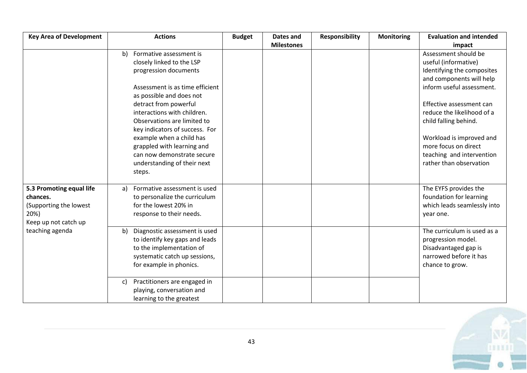| <b>Key Area of Development</b> | <b>Actions</b>                      | <b>Budget</b> | Dates and         | <b>Responsibility</b> | <b>Monitoring</b> | <b>Evaluation and intended</b> |
|--------------------------------|-------------------------------------|---------------|-------------------|-----------------------|-------------------|--------------------------------|
|                                |                                     |               | <b>Milestones</b> |                       |                   | impact                         |
|                                | Formative assessment is<br>b)       |               |                   |                       |                   | Assessment should be           |
|                                | closely linked to the LSP           |               |                   |                       |                   | useful (informative)           |
|                                | progression documents               |               |                   |                       |                   | Identifying the composites     |
|                                |                                     |               |                   |                       |                   | and components will help       |
|                                | Assessment is as time efficient     |               |                   |                       |                   | inform useful assessment.      |
|                                | as possible and does not            |               |                   |                       |                   |                                |
|                                | detract from powerful               |               |                   |                       |                   | Effective assessment can       |
|                                | interactions with children.         |               |                   |                       |                   | reduce the likelihood of a     |
|                                | Observations are limited to         |               |                   |                       |                   | child falling behind.          |
|                                | key indicators of success. For      |               |                   |                       |                   |                                |
|                                | example when a child has            |               |                   |                       |                   | Workload is improved and       |
|                                | grappled with learning and          |               |                   |                       |                   | more focus on direct           |
|                                | can now demonstrate secure          |               |                   |                       |                   | teaching and intervention      |
|                                | understanding of their next         |               |                   |                       |                   | rather than observation        |
|                                | steps.                              |               |                   |                       |                   |                                |
|                                |                                     |               |                   |                       |                   |                                |
| 5.3 Promoting equal life       | Formative assessment is used<br>a)  |               |                   |                       |                   | The EYFS provides the          |
| chances.                       | to personalize the curriculum       |               |                   |                       |                   | foundation for learning        |
| (Supporting the lowest         | for the lowest 20% in               |               |                   |                       |                   | which leads seamlessly into    |
| 20%)                           | response to their needs.            |               |                   |                       |                   | year one.                      |
| Keep up not catch up           |                                     |               |                   |                       |                   |                                |
| teaching agenda                | Diagnostic assessment is used<br>b) |               |                   |                       |                   | The curriculum is used as a    |
|                                | to identify key gaps and leads      |               |                   |                       |                   | progression model.             |
|                                | to the implementation of            |               |                   |                       |                   | Disadvantaged gap is           |
|                                | systematic catch up sessions,       |               |                   |                       |                   | narrowed before it has         |
|                                | for example in phonics.             |               |                   |                       |                   | chance to grow.                |
|                                |                                     |               |                   |                       |                   |                                |
|                                | Practitioners are engaged in<br>C)  |               |                   |                       |                   |                                |
|                                | playing, conversation and           |               |                   |                       |                   |                                |
|                                | learning to the greatest            |               |                   |                       |                   |                                |

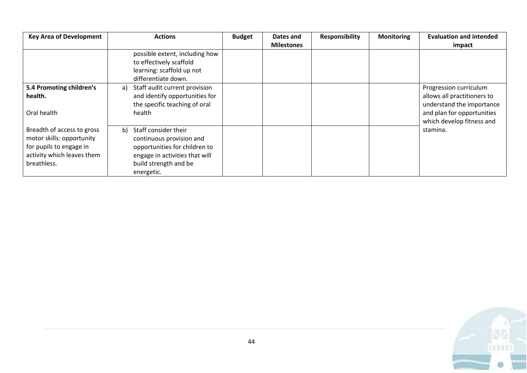| <b>Key Area of Development</b>                                                                                                  | <b>Actions</b>                                                                                                                                                   | <b>Budget</b> | Dates and         | <b>Responsibility</b> | <b>Monitoring</b> | <b>Evaluation and intended</b>                           |
|---------------------------------------------------------------------------------------------------------------------------------|------------------------------------------------------------------------------------------------------------------------------------------------------------------|---------------|-------------------|-----------------------|-------------------|----------------------------------------------------------|
|                                                                                                                                 |                                                                                                                                                                  |               | <b>Milestones</b> |                       |                   | impact                                                   |
|                                                                                                                                 | possible extent, including how<br>to effectively scaffold                                                                                                        |               |                   |                       |                   |                                                          |
|                                                                                                                                 | learning: scaffold up not<br>differentiate down.                                                                                                                 |               |                   |                       |                   |                                                          |
| 5.4 Promoting children's                                                                                                        | Staff audit current provision<br>a)                                                                                                                              |               |                   |                       |                   | Progression curriculum                                   |
| health.                                                                                                                         | and identify opportunities for<br>the specific teaching of oral                                                                                                  |               |                   |                       |                   | allows all practitioners to<br>understand the importance |
| Oral health                                                                                                                     | health                                                                                                                                                           |               |                   |                       |                   | and plan for opportunities<br>which develop fitness and  |
| Breadth of access to gross<br>motor skills: opportunity<br>for pupils to engage in<br>activity which leaves them<br>breathless. | Staff consider their<br>b)<br>continuous provision and<br>opportunities for children to<br>engage in activities that will<br>build strength and be<br>energetic. |               |                   |                       |                   | stamina.                                                 |

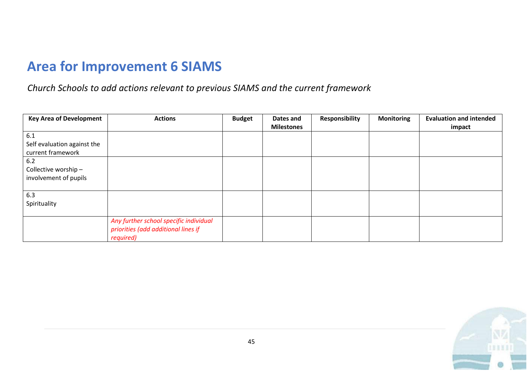## **Area for Improvement 6 SIAMS**

*Church Schools to add actions relevant to previous SIAMS and the current framework*

| <b>Key Area of Development</b>                          | <b>Actions</b>                                                                             | <b>Budget</b> | Dates and<br><b>Milestones</b> | <b>Responsibility</b> | <b>Monitoring</b> | <b>Evaluation and intended</b><br>impact |
|---------------------------------------------------------|--------------------------------------------------------------------------------------------|---------------|--------------------------------|-----------------------|-------------------|------------------------------------------|
| 6.1<br>Self evaluation against the<br>current framework |                                                                                            |               |                                |                       |                   |                                          |
| $6.2$<br>Collective worship -<br>involvement of pupils  |                                                                                            |               |                                |                       |                   |                                          |
| 6.3<br>Spirituality                                     |                                                                                            |               |                                |                       |                   |                                          |
|                                                         | Any further school specific individual<br>priorities (add additional lines if<br>required) |               |                                |                       |                   |                                          |

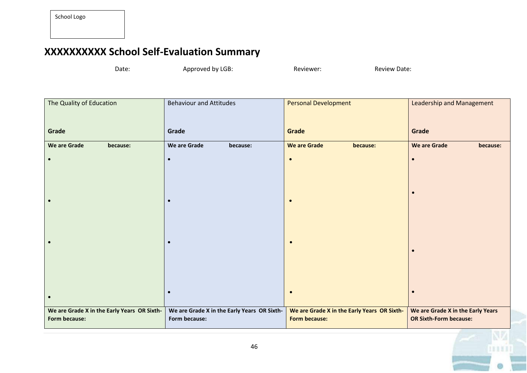## **XXXXXXXXXX School Self-Evaluation Summary**

Date: Approved by LGB: Reviewer: Reviewer: Review Date:

**EAL** 

| The Quality of Education                    | <b>Behaviour and Attitudes</b>              | <b>Personal Development</b>                 | <b>Leadership and Management</b>  |  |
|---------------------------------------------|---------------------------------------------|---------------------------------------------|-----------------------------------|--|
|                                             |                                             |                                             |                                   |  |
| Grade                                       | Grade                                       | Grade                                       | Grade                             |  |
| <b>We are Grade</b><br>because:             | We are Grade<br>because:                    | <b>We are Grade</b><br>because:             | <b>We are Grade</b><br>because:   |  |
| $\bullet$                                   | $\bullet$                                   | $\bullet$                                   | $\bullet$                         |  |
|                                             |                                             |                                             |                                   |  |
|                                             |                                             |                                             |                                   |  |
|                                             |                                             |                                             | $\bullet$                         |  |
|                                             |                                             | $\bullet$                                   |                                   |  |
|                                             |                                             |                                             |                                   |  |
|                                             |                                             |                                             |                                   |  |
|                                             |                                             | $\bullet$                                   |                                   |  |
|                                             |                                             |                                             | $\bullet$                         |  |
|                                             |                                             |                                             |                                   |  |
|                                             |                                             |                                             |                                   |  |
|                                             | $\bullet$                                   | $\bullet$                                   | $\bullet$                         |  |
|                                             |                                             |                                             |                                   |  |
| We are Grade X in the Early Years OR Sixth- | We are Grade X in the Early Years OR Sixth- | We are Grade X in the Early Years OR Sixth- | We are Grade X in the Early Years |  |
| Form because:                               | Form because:                               | <b>Form because:</b>                        | <b>OR Sixth-Form because:</b>     |  |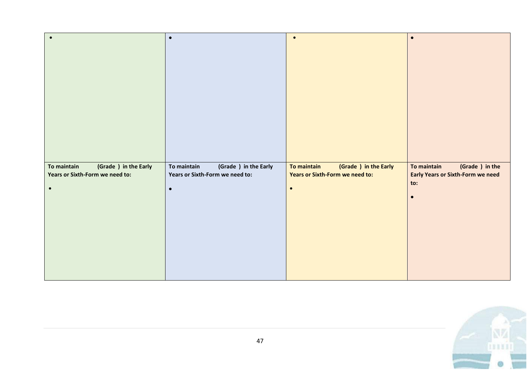|                                      | $\bullet$                            | $\bullet$                            | $\bullet$                                |
|--------------------------------------|--------------------------------------|--------------------------------------|------------------------------------------|
|                                      |                                      |                                      |                                          |
|                                      |                                      |                                      |                                          |
|                                      |                                      |                                      |                                          |
|                                      |                                      |                                      |                                          |
|                                      |                                      |                                      |                                          |
|                                      |                                      |                                      |                                          |
|                                      |                                      |                                      |                                          |
|                                      |                                      |                                      |                                          |
|                                      |                                      |                                      |                                          |
| To maintain<br>(Grade ) in the Early | To maintain<br>(Grade ) in the Early | (Grade ) in the Early<br>To maintain | To maintain<br>(Grade ) in the           |
| Years or Sixth-Form we need to:      | Years or Sixth-Form we need to:      | Years or Sixth-Form we need to:      | <b>Early Years or Sixth-Form we need</b> |
| $\bullet$                            | $\bullet$                            | $\bullet$                            | to:                                      |
|                                      |                                      |                                      | $\bullet$                                |
|                                      |                                      |                                      |                                          |
|                                      |                                      |                                      |                                          |
|                                      |                                      |                                      |                                          |
|                                      |                                      |                                      |                                          |
|                                      |                                      |                                      |                                          |
|                                      |                                      |                                      |                                          |

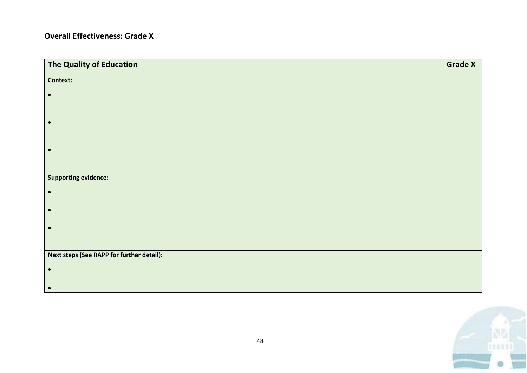#### **Overall Effectiveness: Grade X**

| The Quality of Education                  | <b>Grade X</b> |
|-------------------------------------------|----------------|
| Context:                                  |                |
| $\bullet$                                 |                |
|                                           |                |
| $\bullet$                                 |                |
|                                           |                |
| $\bullet$                                 |                |
|                                           |                |
| <b>Supporting evidence:</b>               |                |
|                                           |                |
| $\bullet$                                 |                |
| $\bullet$                                 |                |
|                                           |                |
|                                           |                |
| Next steps (See RAPP for further detail): |                |
| $\bullet$                                 |                |
|                                           |                |
| $\bullet$                                 |                |

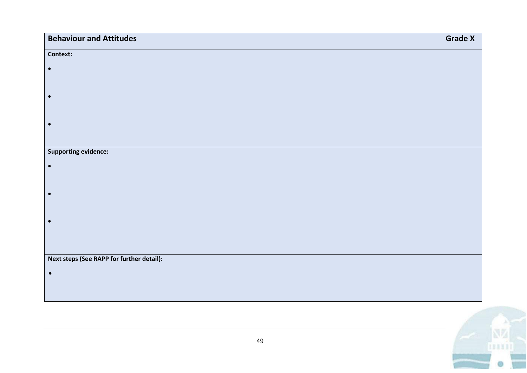| <b>Behaviour and Attitudes</b>            | <b>Grade X</b> |
|-------------------------------------------|----------------|
| Context:                                  |                |
| $\bullet$                                 |                |
|                                           |                |
| $\bullet$                                 |                |
|                                           |                |
| $\bullet$                                 |                |
|                                           |                |
| <b>Supporting evidence:</b>               |                |
| $\bullet$                                 |                |
| $\bullet$                                 |                |
|                                           |                |
| $\bullet$                                 |                |
|                                           |                |
|                                           |                |
| Next steps (See RAPP for further detail): |                |
| $\bullet$                                 |                |
|                                           |                |

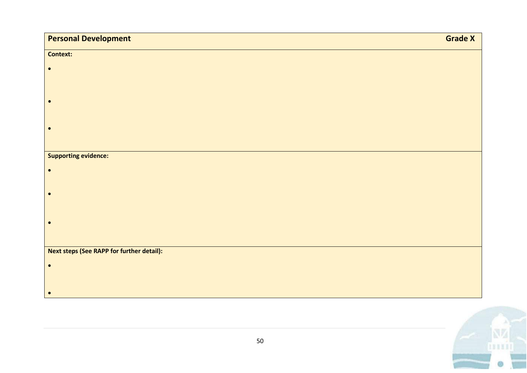| <b>Personal Development</b>               | <b>Grade X</b> |
|-------------------------------------------|----------------|
| <b>Context:</b>                           |                |
| $\bullet$                                 |                |
|                                           |                |
| $\bullet$                                 |                |
|                                           |                |
| $\bullet$                                 |                |
|                                           |                |
| <b>Supporting evidence:</b>               |                |
| $\bullet$                                 |                |
|                                           |                |
| $\bullet$                                 |                |
|                                           |                |
| $\bullet$                                 |                |
|                                           |                |
| Next steps (See RAPP for further detail): |                |
| $\bullet$                                 |                |
|                                           |                |
| $\bullet$                                 |                |

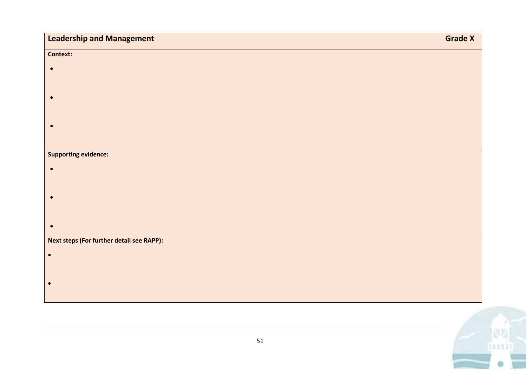| <b>Context:</b><br>$\bullet$<br>$\bullet$ |
|-------------------------------------------|
|                                           |
|                                           |
|                                           |
|                                           |
|                                           |
| $\bullet$                                 |
|                                           |
| <b>Supporting evidence:</b>               |
| $\bullet$                                 |
|                                           |
| $\bullet$                                 |
|                                           |
| $\bullet$                                 |
| Next steps (For further detail see RAPP): |
| $\bullet$                                 |
|                                           |
| $\bullet$                                 |
|                                           |